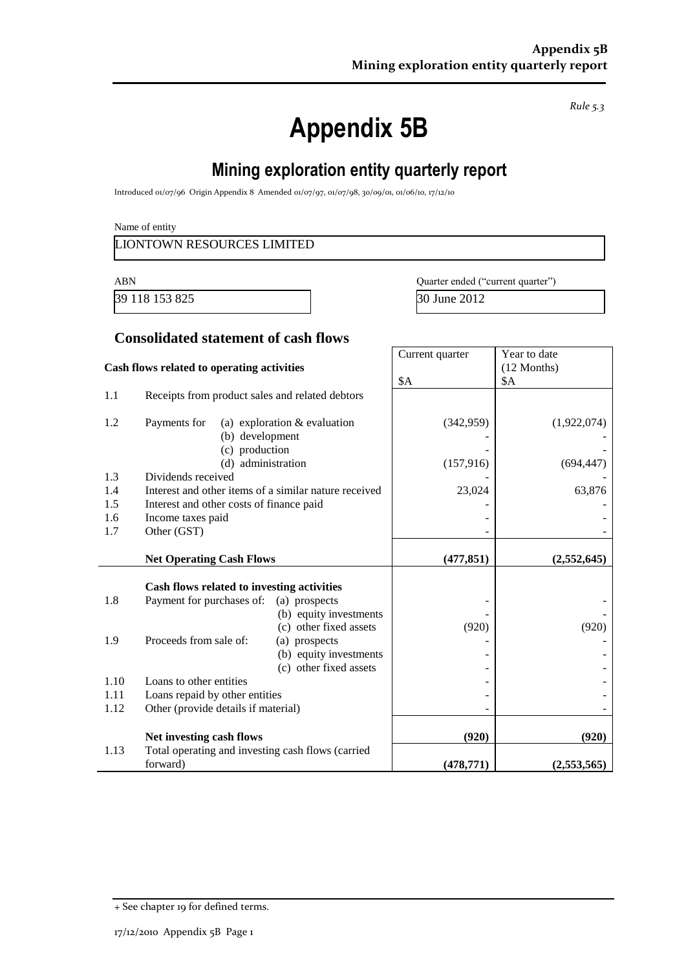**Appendix 5B**

**Mining exploration entity quarterly report**

Introduced 01/07/96 Origin Appendix 8 Amended 01/07/97, 01/07/98, 30/09/01, 01/06/10, 17/12/10

Name of entity

LIONTOWN RESOURCES LIMITED

39 118 153 825 30 June 2012

ABN Quarter ended ("current quarter")

### **Consolidated statement of cash flows**

|                                            |                                                                                     | Current quarter                                           | Year to date |
|--------------------------------------------|-------------------------------------------------------------------------------------|-----------------------------------------------------------|--------------|
| Cash flows related to operating activities |                                                                                     |                                                           | (12 Months)  |
|                                            |                                                                                     | <b>\$A</b>                                                | \$A          |
| 1.1                                        | Receipts from product sales and related debtors                                     |                                                           |              |
| 1.2                                        | Payments for<br>(a) exploration $&$ evaluation<br>(b) development<br>(c) production | (342, 959)                                                | (1,922,074)  |
|                                            | (d) administration                                                                  | (157, 916)                                                | (694, 447)   |
| 1.3                                        | Dividends received                                                                  |                                                           |              |
| 1.4                                        | Interest and other items of a similar nature received                               | 23,024                                                    | 63,876       |
| 1.5                                        | Interest and other costs of finance paid                                            |                                                           |              |
| 1.6<br>1.7                                 | Income taxes paid<br>Other (GST)                                                    |                                                           |              |
|                                            |                                                                                     |                                                           |              |
|                                            | <b>Net Operating Cash Flows</b>                                                     | (477, 851)                                                | (2,552,645)  |
|                                            | Cash flows related to investing activities                                          |                                                           |              |
| 1.8                                        | Payment for purchases of:<br>(a) prospects                                          | (b) equity investments<br>(c) other fixed assets<br>(920) | (920)        |
| 1.9                                        | Proceeds from sale of:<br>(a) prospects                                             | (b) equity investments<br>(c) other fixed assets          |              |
| 1.10                                       | Loans to other entities                                                             |                                                           |              |
| 1.11                                       | Loans repaid by other entities                                                      |                                                           |              |
| 1.12                                       | Other (provide details if material)                                                 |                                                           |              |
|                                            | Net investing cash flows                                                            | (920)                                                     | (920)        |
| 1.13                                       | Total operating and investing cash flows (carried<br>forward)                       | (478, 771)                                                | (2,553,565)  |

+ See chapter 19 for defined terms.

*Rule 5.3*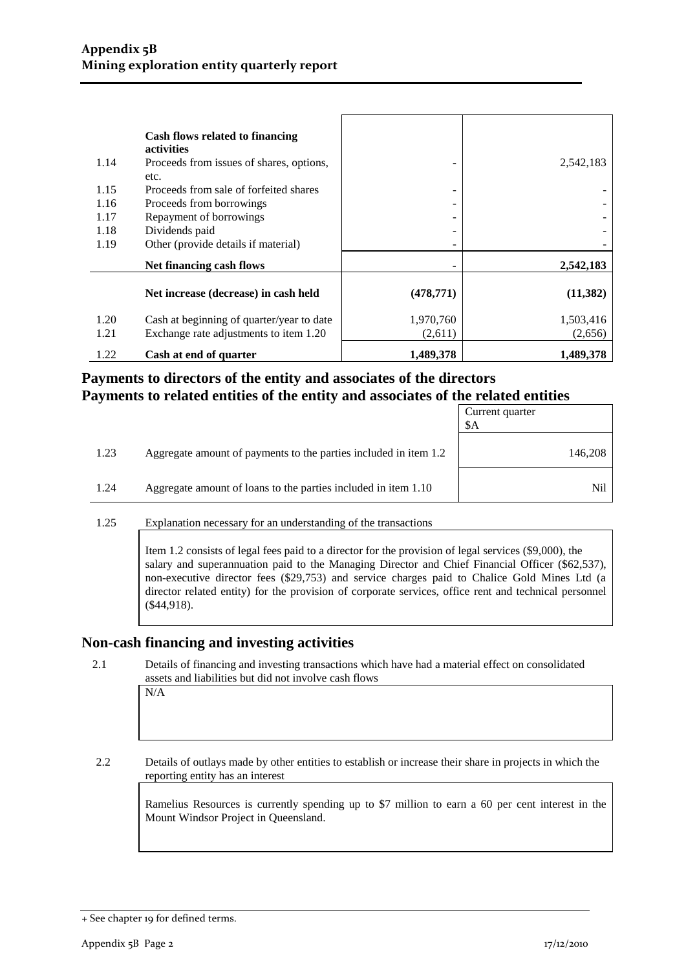|      | Cash flows related to financing           |            |           |
|------|-------------------------------------------|------------|-----------|
|      | <b>activities</b>                         |            |           |
| 1.14 | Proceeds from issues of shares, options,  |            | 2,542,183 |
|      | etc.                                      |            |           |
| 1.15 | Proceeds from sale of forfeited shares    |            |           |
| 1.16 | Proceeds from borrowings                  | -          |           |
| 1.17 | Repayment of borrowings                   |            |           |
| 1.18 | Dividends paid                            | -          |           |
| 1.19 | Other (provide details if material)       | -          |           |
|      | Net financing cash flows                  |            | 2,542,183 |
|      | Net increase (decrease) in cash held      | (478, 771) | (11, 382) |
|      |                                           |            |           |
| 1.20 | Cash at beginning of quarter/year to date | 1,970,760  | 1,503,416 |
| 1.21 | Exchange rate adjustments to item 1.20    | (2,611)    | (2,656)   |
| 1.22 | Cash at end of quarter                    | 1,489,378  | 1,489,378 |

### **Payments to directors of the entity and associates of the directors Payments to related entities of the entity and associates of the related entities**

|      |                                                                  | Current quarter<br>\$A |
|------|------------------------------------------------------------------|------------------------|
| 1.23 | Aggregate amount of payments to the parties included in item 1.2 | 146,208                |
| 1.24 | Aggregate amount of loans to the parties included in item 1.10   | Nil                    |

1.25 Explanation necessary for an understanding of the transactions

Item 1.2 consists of legal fees paid to a director for the provision of legal services (\$9,000), the salary and superannuation paid to the Managing Director and Chief Financial Officer (\$62,537), non-executive director fees (\$29,753) and service charges paid to Chalice Gold Mines Ltd (a director related entity) for the provision of corporate services, office rent and technical personnel (\$44,918).

#### **Non-cash financing and investing activities**

2.1 Details of financing and investing transactions which have had a material effect on consolidated assets and liabilities but did not involve cash flows

2.2 Details of outlays made by other entities to establish or increase their share in projects in which the reporting entity has an interest

> Ramelius Resources is currently spending up to \$7 million to earn a 60 per cent interest in the Mount Windsor Project in Queensland.

N/A

<sup>+</sup> See chapter 19 for defined terms.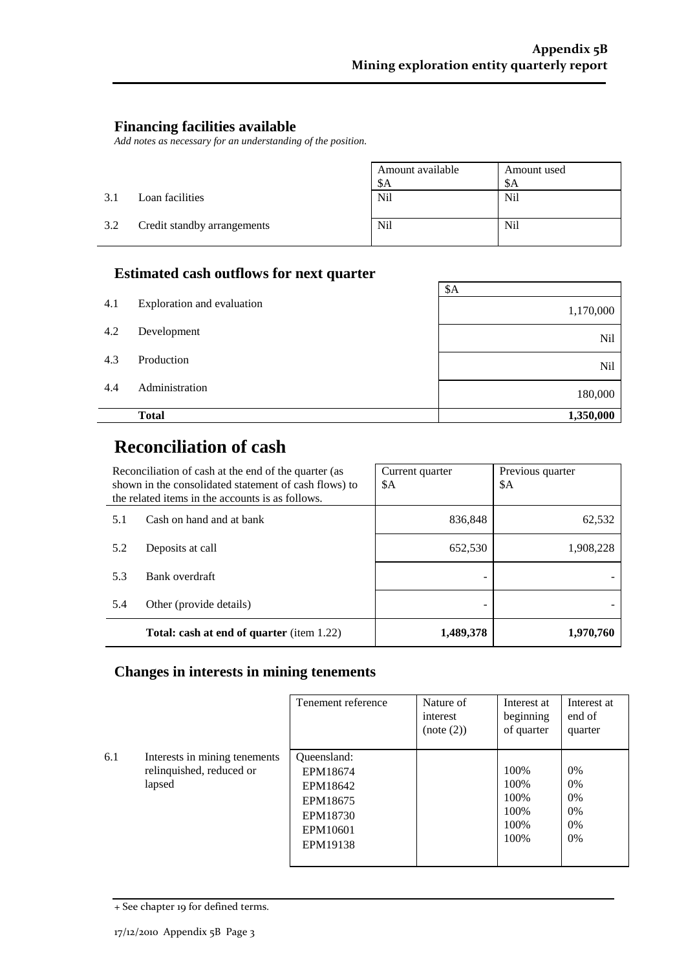$\overline{\phantom{0}}$ 

### **Financing facilities available**

*Add notes as necessary for an understanding of the position.*

|     |                             | Amount available | Amount used     |
|-----|-----------------------------|------------------|-----------------|
|     |                             | \$A              | \$A             |
| 3.1 | Loan facilities             | N <sub>il</sub>  | N <sub>il</sub> |
| 3.2 | Credit standby arrangements | <b>Nil</b>       | N <sub>il</sub> |

## **Estimated cash outflows for next quarter**

|     |                            | \$A       |
|-----|----------------------------|-----------|
| 4.1 | Exploration and evaluation | 1,170,000 |
| 4.2 | Development                | Nil       |
| 4.3 | Production                 | Nil       |
| 4.4 | Administration             | 180,000   |
|     | <b>Total</b>               | 1,350,000 |

# **Reconciliation of cash**

| Reconciliation of cash at the end of the quarter (as<br>shown in the consolidated statement of cash flows) to<br>the related items in the accounts is as follows. |                                                  | Current quarter<br>\$A | Previous quarter<br>\$A |
|-------------------------------------------------------------------------------------------------------------------------------------------------------------------|--------------------------------------------------|------------------------|-------------------------|
| 5.1                                                                                                                                                               | Cash on hand and at bank                         | 836,848                | 62,532                  |
| 5.2                                                                                                                                                               | Deposits at call                                 | 652,530                | 1,908,228               |
| 5.3                                                                                                                                                               | Bank overdraft                                   |                        |                         |
| 5.4                                                                                                                                                               | Other (provide details)                          |                        |                         |
|                                                                                                                                                                   | <b>Total: cash at end of quarter</b> (item 1.22) | 1,489,378              | 1,970,760               |

## **Changes in interests in mining tenements**

|     |                                                                     | Tenement reference                                                                  | Nature of<br>interest<br>(note (2)) | Interest at<br>beginning<br>of quarter          | Interest at<br>end of<br>quarter |
|-----|---------------------------------------------------------------------|-------------------------------------------------------------------------------------|-------------------------------------|-------------------------------------------------|----------------------------------|
| 6.1 | Interests in mining tenements<br>relinquished, reduced or<br>lapsed | Queensland:<br>EPM18674<br>EPM18642<br>EPM18675<br>EPM18730<br>EPM10601<br>EPM19138 |                                     | 100%<br>100%<br>100\%<br>100\%<br>100%<br>100\% | 0%<br>0%<br>0%<br>0%<br>0%<br>0% |

<sup>+</sup> See chapter 19 for defined terms.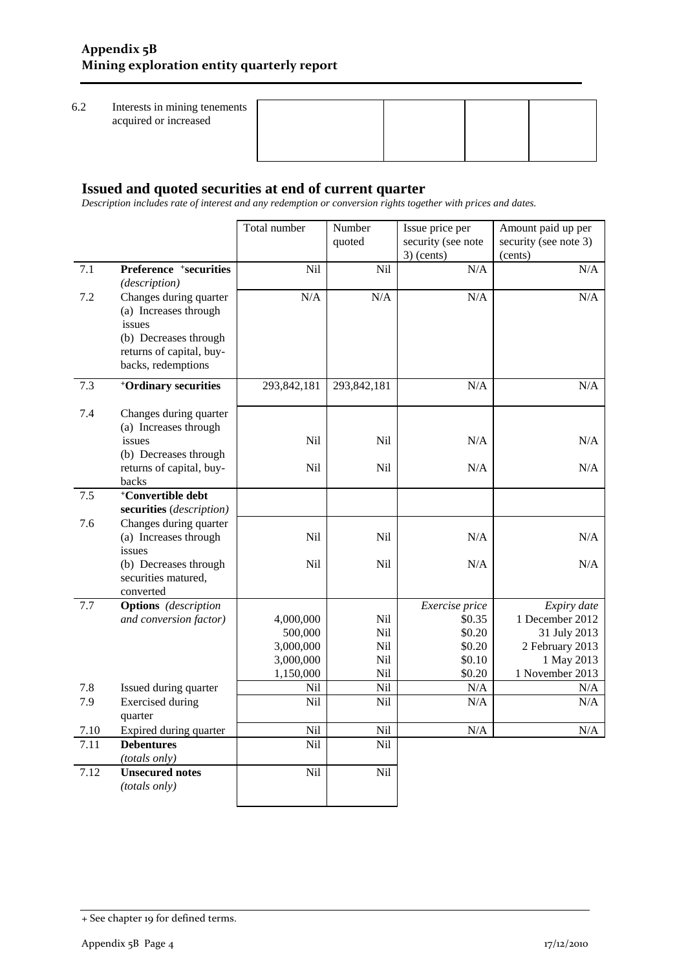6.2 Interests in mining tenements acquired or increased

| nts |  |  |
|-----|--|--|
|     |  |  |
|     |  |  |
|     |  |  |

### **Issued and quoted securities at end of current quarter**

*Description includes rate of interest and any redemption or conversion rights together with prices and dates.*

|         |                                                                                                                                      | Total number    | Number      | Issue price per    | Amount paid up per    |
|---------|--------------------------------------------------------------------------------------------------------------------------------------|-----------------|-------------|--------------------|-----------------------|
|         |                                                                                                                                      |                 | quoted      | security (see note | security (see note 3) |
|         |                                                                                                                                      |                 |             | $3)$ (cents)       | (cents)               |
| 7.1     | Preference +securities<br>(description)                                                                                              | Nil             | Nil         | N/A                | N/A                   |
| 7.2     | Changes during quarter<br>(a) Increases through<br>issues<br>(b) Decreases through<br>returns of capital, buy-<br>backs, redemptions | N/A             | N/A         | N/A                | N/A                   |
| 7.3     | <sup>+</sup> Ordinary securities                                                                                                     | 293,842,181     | 293,842,181 | $\rm N/A$          | N/A                   |
| 7.4     | Changes during quarter<br>(a) Increases through                                                                                      |                 |             |                    |                       |
|         | issues<br>(b) Decreases through                                                                                                      | N <sub>il</sub> | Nil         | N/A                | N/A                   |
|         | returns of capital, buy-<br>backs                                                                                                    | Nil             | Nil         | N/A                | N/A                   |
| $7.5\,$ | <sup>+</sup> Convertible debt<br>securities (description)                                                                            |                 |             |                    |                       |
| 7.6     | Changes during quarter<br>(a) Increases through<br>issues                                                                            | Nil             | Nil         | N/A                | N/A                   |
|         | (b) Decreases through<br>securities matured,<br>converted                                                                            | N <sub>il</sub> | Nil         | N/A                | N/A                   |
| 7.7     | <b>Options</b> (description                                                                                                          |                 |             | Exercise price     | Expiry date           |
|         | and conversion factor)                                                                                                               | 4,000,000       | Nil         | \$0.35             | 1 December 2012       |
|         |                                                                                                                                      | 500,000         | Nil         | \$0.20             | 31 July 2013          |
|         |                                                                                                                                      | 3,000,000       | Nil         | \$0.20             | 2 February 2013       |
|         |                                                                                                                                      | 3,000,000       | Nil         | \$0.10             | 1 May 2013            |
|         |                                                                                                                                      | 1,150,000       | Nil         | \$0.20             | 1 November 2013       |
| 7.8     | Issued during quarter                                                                                                                | Nil             | Nil         | $\rm N/A$          | N/A                   |
| 7.9     | <b>Exercised</b> during<br>quarter                                                                                                   | Nil             | Nil         | N/A                | N/A                   |
| 7.10    | Expired during quarter                                                                                                               | Nil             | Nil         | $\rm N/A$          | N/A                   |
| 7.11    | <b>Debentures</b><br>(totals only)                                                                                                   | Nil             | Nil         |                    |                       |
| 7.12    | <b>Unsecured notes</b><br>(totals only)                                                                                              | Nil             | Nil         |                    |                       |

<sup>+</sup> See chapter 19 for defined terms.